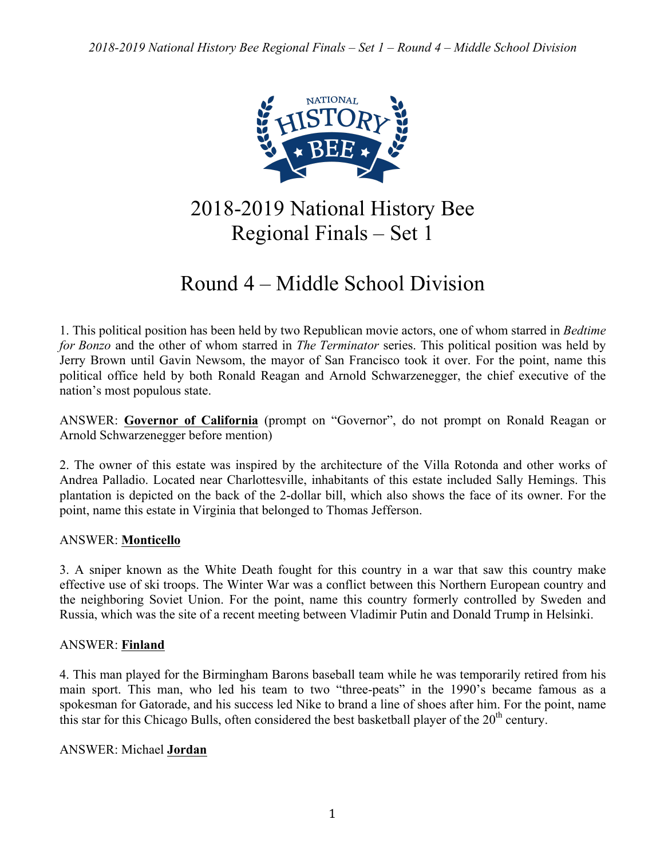

2018-2019 National History Bee Regional Finals – Set 1

# Round 4 – Middle School Division

1. This political position has been held by two Republican movie actors, one of whom starred in *Bedtime for Bonzo* and the other of whom starred in *The Terminator* series. This political position was held by Jerry Brown until Gavin Newsom, the mayor of San Francisco took it over. For the point, name this political office held by both Ronald Reagan and Arnold Schwarzenegger, the chief executive of the nation's most populous state.

ANSWER: **Governor of California** (prompt on "Governor", do not prompt on Ronald Reagan or Arnold Schwarzenegger before mention)

2. The owner of this estate was inspired by the architecture of the Villa Rotonda and other works of Andrea Palladio. Located near Charlottesville, inhabitants of this estate included Sally Hemings. This plantation is depicted on the back of the 2-dollar bill, which also shows the face of its owner. For the point, name this estate in Virginia that belonged to Thomas Jefferson.

# ANSWER: **Monticello**

3. A sniper known as the White Death fought for this country in a war that saw this country make effective use of ski troops. The Winter War was a conflict between this Northern European country and the neighboring Soviet Union. For the point, name this country formerly controlled by Sweden and Russia, which was the site of a recent meeting between Vladimir Putin and Donald Trump in Helsinki.

# ANSWER: **Finland**

4. This man played for the Birmingham Barons baseball team while he was temporarily retired from his main sport. This man, who led his team to two "three-peats" in the 1990's became famous as a spokesman for Gatorade, and his success led Nike to brand a line of shoes after him. For the point, name this star for this Chicago Bulls, often considered the best basketball player of the  $20<sup>th</sup>$  century.

# ANSWER: Michael **Jordan**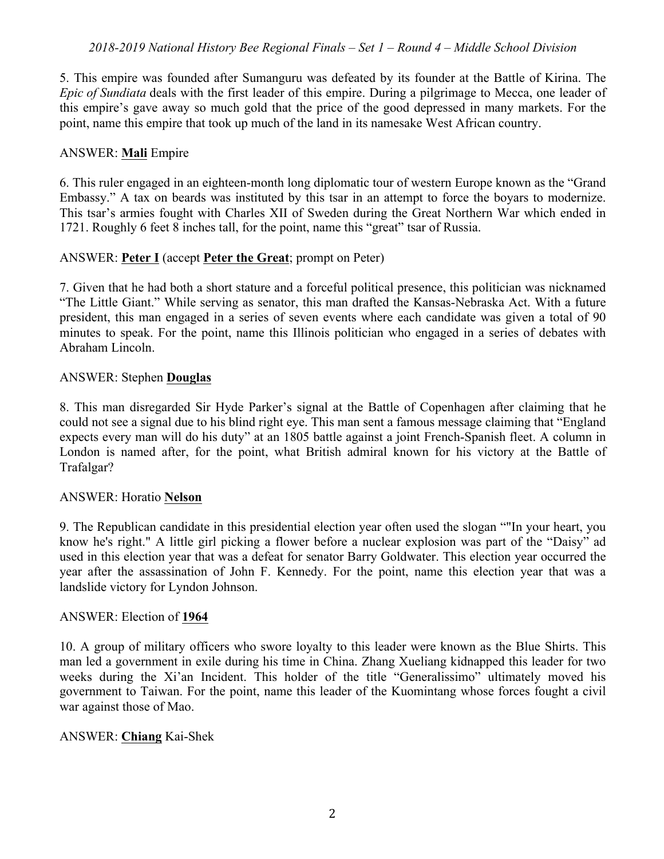5. This empire was founded after Sumanguru was defeated by its founder at the Battle of Kirina. The *Epic of Sundiata* deals with the first leader of this empire. During a pilgrimage to Mecca, one leader of this empire's gave away so much gold that the price of the good depressed in many markets. For the point, name this empire that took up much of the land in its namesake West African country.

## ANSWER: **Mali** Empire

6. This ruler engaged in an eighteen-month long diplomatic tour of western Europe known as the "Grand Embassy." A tax on beards was instituted by this tsar in an attempt to force the boyars to modernize. This tsar's armies fought with Charles XII of Sweden during the Great Northern War which ended in 1721. Roughly 6 feet 8 inches tall, for the point, name this "great" tsar of Russia.

## ANSWER: **Peter I** (accept **Peter the Great**; prompt on Peter)

7. Given that he had both a short stature and a forceful political presence, this politician was nicknamed "The Little Giant." While serving as senator, this man drafted the Kansas-Nebraska Act. With a future president, this man engaged in a series of seven events where each candidate was given a total of 90 minutes to speak. For the point, name this Illinois politician who engaged in a series of debates with Abraham Lincoln.

## ANSWER: Stephen **Douglas**

8. This man disregarded Sir Hyde Parker's signal at the Battle of Copenhagen after claiming that he could not see a signal due to his blind right eye. This man sent a famous message claiming that "England expects every man will do his duty" at an 1805 battle against a joint French-Spanish fleet. A column in London is named after, for the point, what British admiral known for his victory at the Battle of Trafalgar?

## ANSWER: Horatio **Nelson**

9. The Republican candidate in this presidential election year often used the slogan ""In your heart, you know he's right." A little girl picking a flower before a nuclear explosion was part of the "Daisy" ad used in this election year that was a defeat for senator Barry Goldwater. This election year occurred the year after the assassination of John F. Kennedy. For the point, name this election year that was a landslide victory for Lyndon Johnson.

## ANSWER: Election of **1964**

10. A group of military officers who swore loyalty to this leader were known as the Blue Shirts. This man led a government in exile during his time in China. Zhang Xueliang kidnapped this leader for two weeks during the Xi'an Incident. This holder of the title "Generalissimo" ultimately moved his government to Taiwan. For the point, name this leader of the Kuomintang whose forces fought a civil war against those of Mao.

## ANSWER: **Chiang** Kai-Shek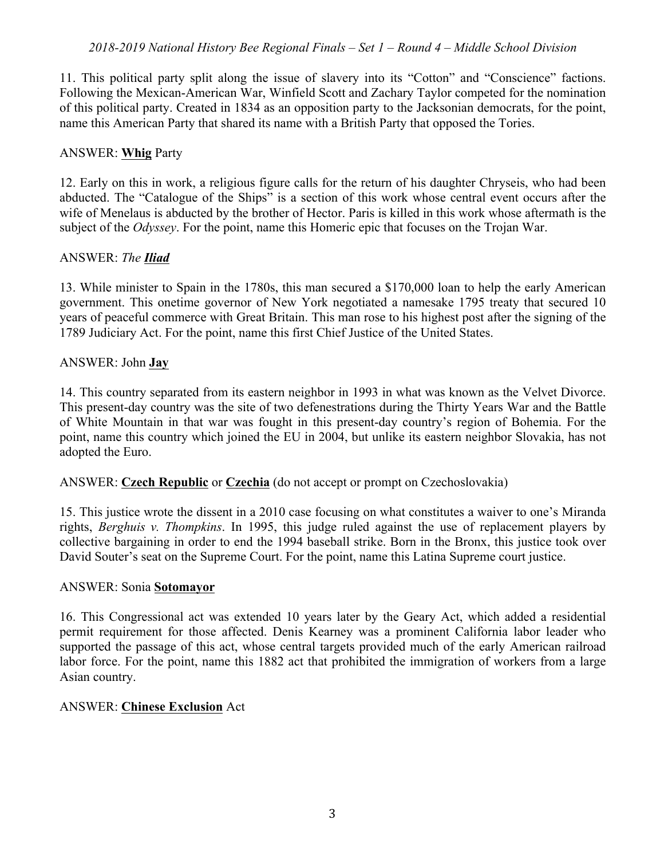11. This political party split along the issue of slavery into its "Cotton" and "Conscience" factions. Following the Mexican-American War, Winfield Scott and Zachary Taylor competed for the nomination of this political party. Created in 1834 as an opposition party to the Jacksonian democrats, for the point, name this American Party that shared its name with a British Party that opposed the Tories.

## ANSWER: **Whig** Party

12. Early on this in work, a religious figure calls for the return of his daughter Chryseis, who had been abducted. The "Catalogue of the Ships" is a section of this work whose central event occurs after the wife of Menelaus is abducted by the brother of Hector. Paris is killed in this work whose aftermath is the subject of the *Odyssey*. For the point, name this Homeric epic that focuses on the Trojan War.

# ANSWER: *The Iliad*

13. While minister to Spain in the 1780s, this man secured a \$170,000 loan to help the early American government. This onetime governor of New York negotiated a namesake 1795 treaty that secured 10 years of peaceful commerce with Great Britain. This man rose to his highest post after the signing of the 1789 Judiciary Act. For the point, name this first Chief Justice of the United States.

## ANSWER: John **Jay**

14. This country separated from its eastern neighbor in 1993 in what was known as the Velvet Divorce. This present-day country was the site of two defenestrations during the Thirty Years War and the Battle of White Mountain in that war was fought in this present-day country's region of Bohemia. For the point, name this country which joined the EU in 2004, but unlike its eastern neighbor Slovakia, has not adopted the Euro.

# ANSWER: **Czech Republic** or **Czechia** (do not accept or prompt on Czechoslovakia)

15. This justice wrote the dissent in a 2010 case focusing on what constitutes a waiver to one's Miranda rights, *Berghuis v. Thompkins*. In 1995, this judge ruled against the use of replacement players by collective bargaining in order to end the 1994 baseball strike. Born in the Bronx, this justice took over David Souter's seat on the Supreme Court. For the point, name this Latina Supreme court justice.

## ANSWER: Sonia **Sotomayor**

16. This Congressional act was extended 10 years later by the Geary Act, which added a residential permit requirement for those affected. Denis Kearney was a prominent California labor leader who supported the passage of this act, whose central targets provided much of the early American railroad labor force. For the point, name this 1882 act that prohibited the immigration of workers from a large Asian country.

# ANSWER: **Chinese Exclusion** Act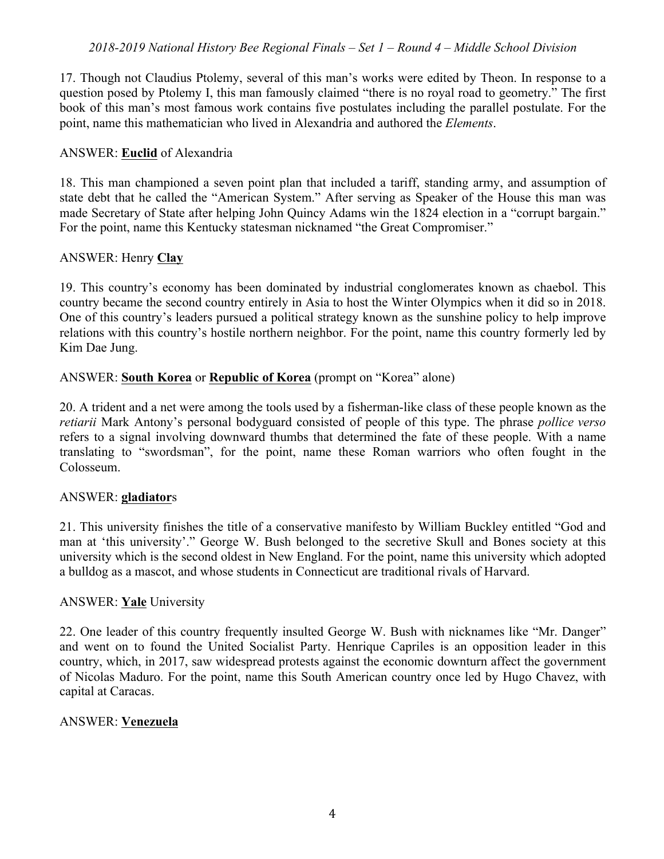17. Though not Claudius Ptolemy, several of this man's works were edited by Theon. In response to a question posed by Ptolemy I, this man famously claimed "there is no royal road to geometry." The first book of this man's most famous work contains five postulates including the parallel postulate. For the point, name this mathematician who lived in Alexandria and authored the *Elements*.

## ANSWER: **Euclid** of Alexandria

18. This man championed a seven point plan that included a tariff, standing army, and assumption of state debt that he called the "American System." After serving as Speaker of the House this man was made Secretary of State after helping John Quincy Adams win the 1824 election in a "corrupt bargain." For the point, name this Kentucky statesman nicknamed "the Great Compromiser."

## ANSWER: Henry **Clay**

19. This country's economy has been dominated by industrial conglomerates known as chaebol. This country became the second country entirely in Asia to host the Winter Olympics when it did so in 2018. One of this country's leaders pursued a political strategy known as the sunshine policy to help improve relations with this country's hostile northern neighbor. For the point, name this country formerly led by Kim Dae Jung.

## ANSWER: **South Korea** or **Republic of Korea** (prompt on "Korea" alone)

20. A trident and a net were among the tools used by a fisherman-like class of these people known as the *retiarii* Mark Antony's personal bodyguard consisted of people of this type. The phrase *pollice verso* refers to a signal involving downward thumbs that determined the fate of these people. With a name translating to "swordsman", for the point, name these Roman warriors who often fought in the Colosseum.

## ANSWER: **gladiator**s

21. This university finishes the title of a conservative manifesto by William Buckley entitled "God and man at 'this university'." George W. Bush belonged to the secretive Skull and Bones society at this university which is the second oldest in New England. For the point, name this university which adopted a bulldog as a mascot, and whose students in Connecticut are traditional rivals of Harvard.

## ANSWER: **Yale** University

22. One leader of this country frequently insulted George W. Bush with nicknames like "Mr. Danger" and went on to found the United Socialist Party. Henrique Capriles is an opposition leader in this country, which, in 2017, saw widespread protests against the economic downturn affect the government of Nicolas Maduro. For the point, name this South American country once led by Hugo Chavez, with capital at Caracas.

## ANSWER: **Venezuela**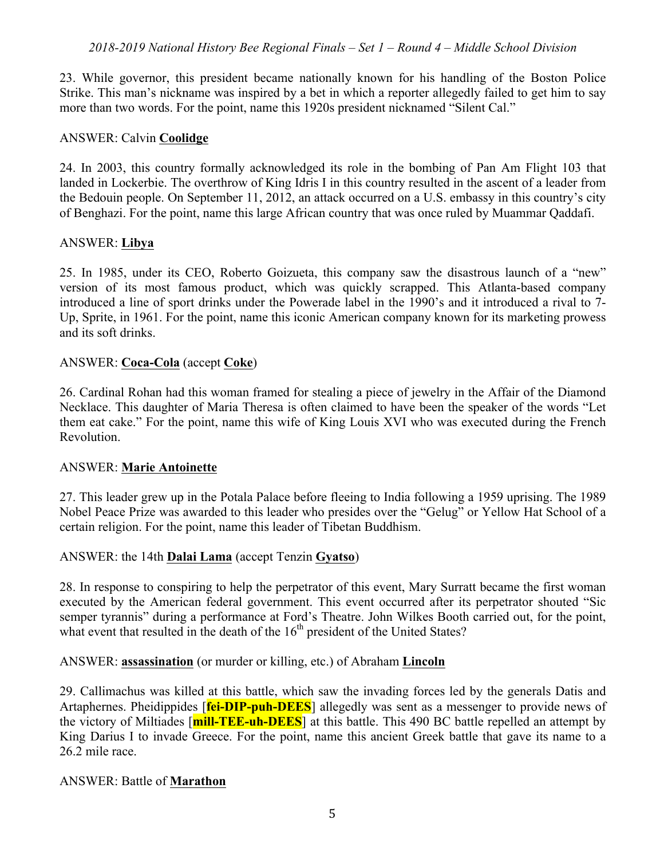23. While governor, this president became nationally known for his handling of the Boston Police Strike. This man's nickname was inspired by a bet in which a reporter allegedly failed to get him to say more than two words. For the point, name this 1920s president nicknamed "Silent Cal."

## ANSWER: Calvin **Coolidge**

24. In 2003, this country formally acknowledged its role in the bombing of Pan Am Flight 103 that landed in Lockerbie. The overthrow of King Idris I in this country resulted in the ascent of a leader from the Bedouin people. On September 11, 2012, an attack occurred on a U.S. embassy in this country's city of Benghazi. For the point, name this large African country that was once ruled by Muammar Qaddafi.

## ANSWER: **Libya**

25. In 1985, under its CEO, Roberto Goizueta, this company saw the disastrous launch of a "new" version of its most famous product, which was quickly scrapped. This Atlanta-based company introduced a line of sport drinks under the Powerade label in the 1990's and it introduced a rival to 7- Up, Sprite, in 1961. For the point, name this iconic American company known for its marketing prowess and its soft drinks.

## ANSWER: **Coca-Cola** (accept **Coke**)

26. Cardinal Rohan had this woman framed for stealing a piece of jewelry in the Affair of the Diamond Necklace. This daughter of Maria Theresa is often claimed to have been the speaker of the words "Let them eat cake." For the point, name this wife of King Louis XVI who was executed during the French Revolution.

## ANSWER: **Marie Antoinette**

27. This leader grew up in the Potala Palace before fleeing to India following a 1959 uprising. The 1989 Nobel Peace Prize was awarded to this leader who presides over the "Gelug" or Yellow Hat School of a certain religion. For the point, name this leader of Tibetan Buddhism.

# ANSWER: the 14th **Dalai Lama** (accept Tenzin **Gyatso**)

28. In response to conspiring to help the perpetrator of this event, Mary Surratt became the first woman executed by the American federal government. This event occurred after its perpetrator shouted "Sic semper tyrannis" during a performance at Ford's Theatre. John Wilkes Booth carried out, for the point, what event that resulted in the death of the  $16<sup>th</sup>$  president of the United States?

## ANSWER: **assassination** (or murder or killing, etc.) of Abraham **Lincoln**

29. Callimachus was killed at this battle, which saw the invading forces led by the generals Datis and Artaphernes. Pheidippides [**fei-DIP-puh-DEES**] allegedly was sent as a messenger to provide news of the victory of Miltiades [**mill-TEE-uh-DEES**] at this battle. This 490 BC battle repelled an attempt by King Darius I to invade Greece. For the point, name this ancient Greek battle that gave its name to a 26.2 mile race.

## ANSWER: Battle of **Marathon**